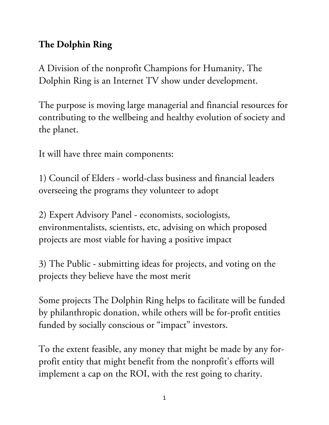## **The Dolphin Ring**

A Division of the nonprofit Champions for Humanity, The Dolphin Ring is an Internet TV show under development.

The purpose is moving large managerial and financial resources for contributing to the wellbeing and healthy evolution of society and the planet.

It will have three main components:

1) Council of Elders - world-class business and financial leaders overseeing the programs they volunteer to adopt

2) Expert Advisory Panel - economists, sociologists, environmentalists, scientists, etc, advising on which proposed projects are most viable for having a positive impact

3) The Public - submitting ideas for projects, and voting on the projects they believe have the most merit

Some projects The Dolphin Ring helps to facilitate will be funded by philanthropic donation, while others will be for-profit entities funded by socially conscious or "impact" investors.

To the extent feasible, any money that might be made by any forprofit entity that might benefit from the nonprofit's efforts will implement a cap on the ROI, with the rest going to charity.